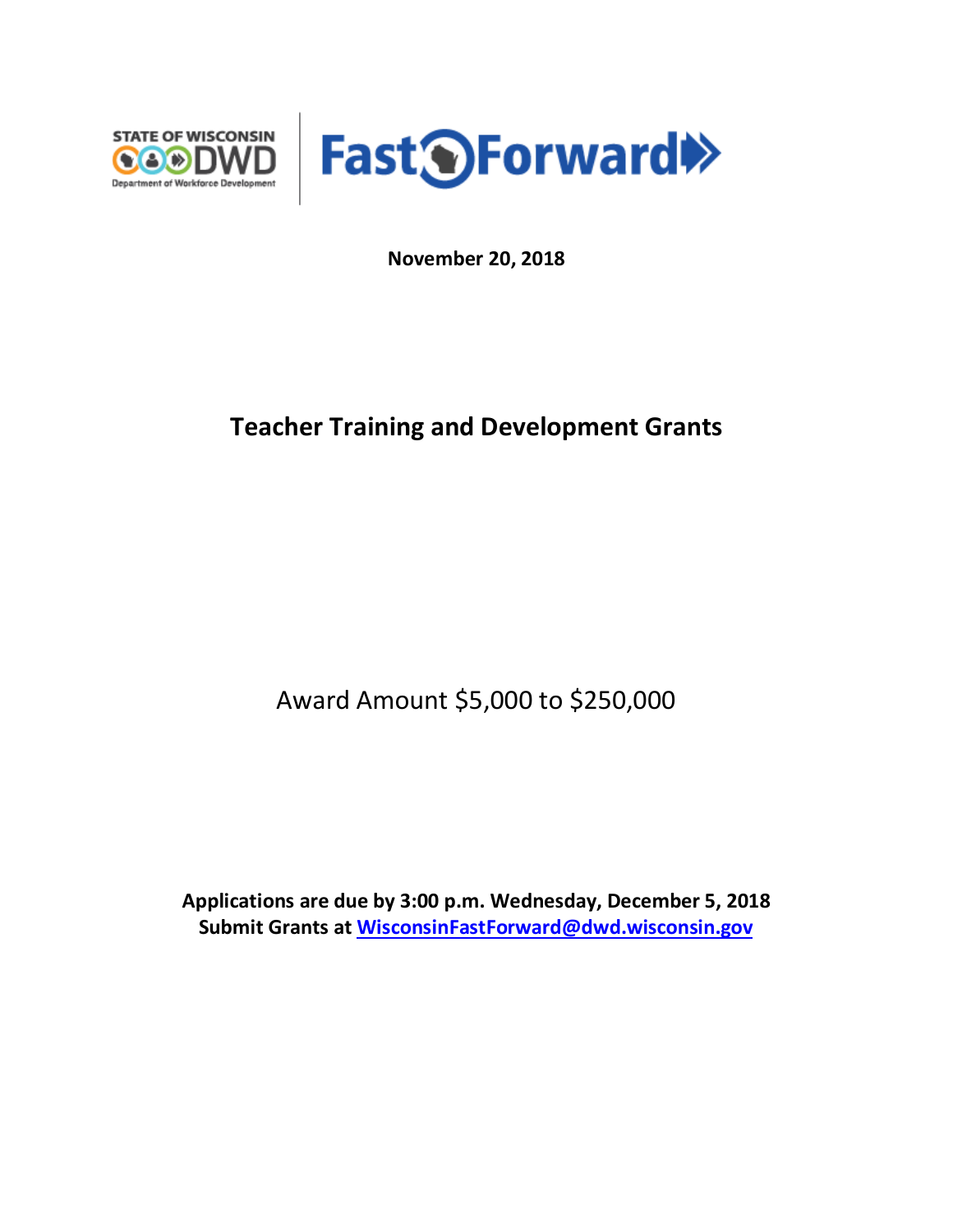



**November 20, 2018**

## **Teacher Training and Development Grants**

Award Amount \$5,000 to \$250,000

**Applications are due by 3:00 p.m. Wednesday, December 5, 2018 Submit Grants at [WisconsinFastForward@dwd.wisconsin.gov](mailto:WisconsinFastForward@dwd.wisconsin.gov)**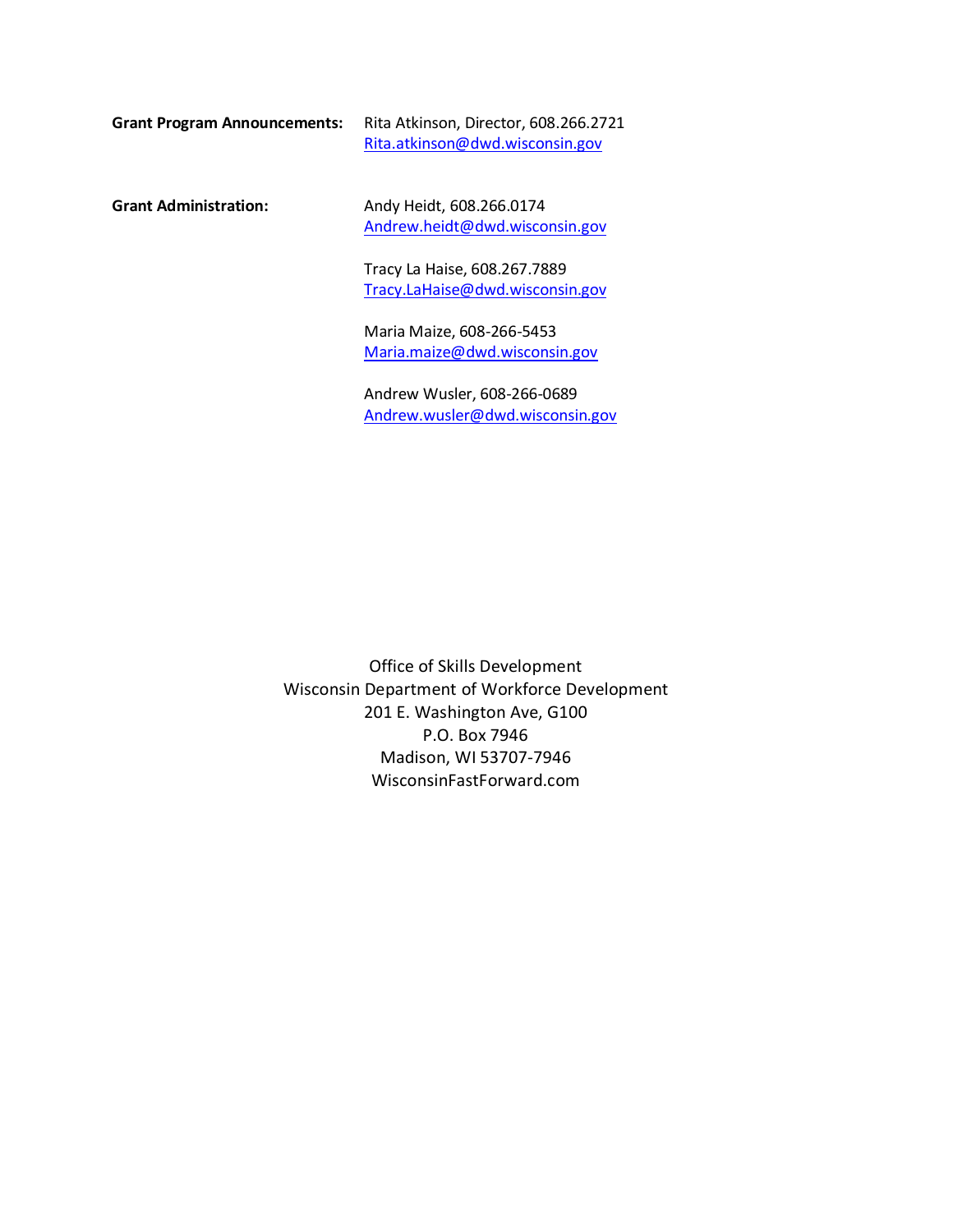**Grant Program Announcements:** Rita Atkinson, Director, 608.266.2721 [Rita.atkinson@dwd.wisconsin.gov](mailto:Rita.atkinson@dwd.wisconsin.gov)

Grant Administration: Andy Heidt, 608.266.0174 [Andrew.heidt@dwd.wisconsin.gov](mailto:Andrew.heidt@dwd.wisconsin.gov)

> Tracy La Haise, 608.267.7889 [Tracy.LaHaise@dwd.wisconsin.gov](mailto:Tracy.LaHaise@dwd.wisconsin.gov)

Maria Maize, 608-266-5453 [Maria.maize@dwd.wisconsin.gov](mailto:Maria.maize@dwd.wisconsin.gov)

Andrew Wusler, 608-266-0689 [Andrew.wusler@dwd.wisconsin.gov](mailto:Andrew.wusler@dwd.wisconsin.gov)

Office of Skills Development Wisconsin Department of Workforce Development 201 E. Washington Ave, G100 P.O. Box 7946 Madison, WI 53707-7946 WisconsinFastForward.com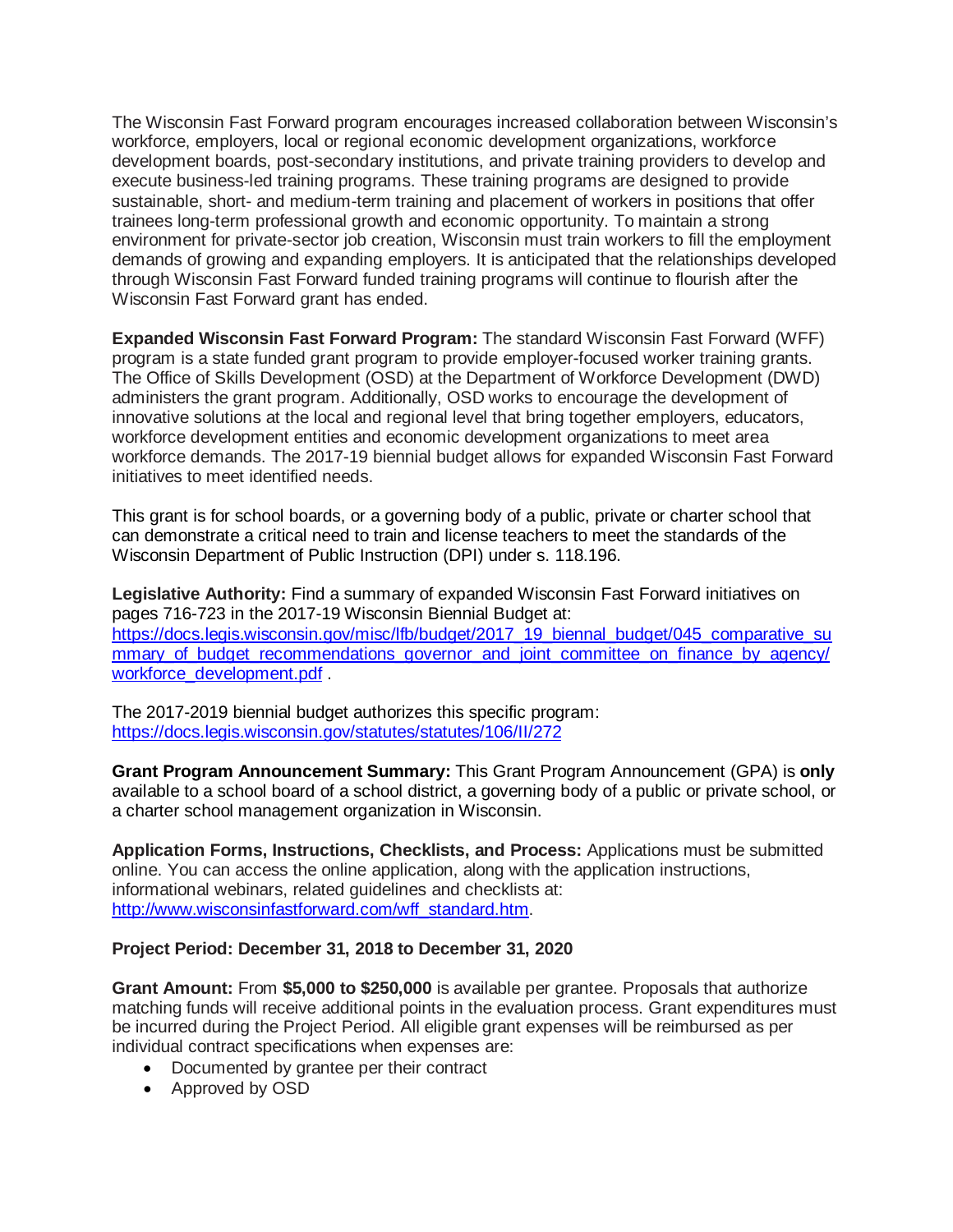The Wisconsin Fast Forward program encourages increased collaboration between Wisconsin's workforce, employers, local or regional economic development organizations, workforce development boards, post-secondary institutions, and private training providers to develop and execute business-led training programs. These training programs are designed to provide sustainable, short- and medium-term training and placement of workers in positions that offer trainees long-term professional growth and economic opportunity. To maintain a strong environment for private-sector job creation, Wisconsin must train workers to fill the employment demands of growing and expanding employers. It is anticipated that the relationships developed through Wisconsin Fast Forward funded training programs will continue to flourish after the Wisconsin Fast Forward grant has ended.

**Expanded Wisconsin Fast Forward Program:** The standard Wisconsin Fast Forward (WFF) program is a state funded grant program to provide employer-focused worker training grants. The Office of Skills Development (OSD) at the Department of Workforce Development (DWD) administers the grant program. Additionally, OSD works to encourage the development of innovative solutions at the local and regional level that bring together employers, educators, workforce development entities and economic development organizations to meet area workforce demands. The 2017-19 biennial budget allows for expanded Wisconsin Fast Forward initiatives to meet identified needs.

This grant is for school boards, or a governing body of a public, private or charter school that can demonstrate a critical need to train and license teachers to meet the standards of the Wisconsin Department of Public Instruction (DPI) under s. 118.196.

**Legislative Authority:** Find a summary of expanded Wisconsin Fast Forward initiatives on pages 716-723 in the 2017-19 Wisconsin Biennial Budget at: [https://docs.legis.wisconsin.gov/misc/lfb/budget/2017\\_19\\_biennal\\_budget/045\\_comparative\\_su](https://docs.legis.wisconsin.gov/misc/lfb/budget/2017_19_biennal_budget/045_comparative_summary_of_budget_recommendations_governor_and_joint_committee_on_finance_by_agency/workforce_development.pdf) [mmary\\_of\\_budget\\_recommendations\\_governor\\_and\\_joint\\_committee\\_on\\_finance\\_by\\_agency/](https://docs.legis.wisconsin.gov/misc/lfb/budget/2017_19_biennal_budget/045_comparative_summary_of_budget_recommendations_governor_and_joint_committee_on_finance_by_agency/workforce_development.pdf) [workforce\\_development.pdf](https://docs.legis.wisconsin.gov/misc/lfb/budget/2017_19_biennal_budget/045_comparative_summary_of_budget_recommendations_governor_and_joint_committee_on_finance_by_agency/workforce_development.pdf)

The 2017-2019 biennial budget authorizes this specific program: <https://docs.legis.wisconsin.gov/statutes/statutes/106/II/272>

**Grant Program Announcement Summary:** This Grant Program Announcement (GPA) is **only**  available to a school board of a school district, a governing body of a public or private school, or a charter school management organization in Wisconsin.

**Application Forms, Instructions, Checklists, and Process:** Applications must be submitted online. You can access the online application, along with the application instructions, informational webinars, related guidelines and checklists at: [http://www.wisconsinfastforward.com/wff\\_standard.htm.](http://www.wisconsinfastforward.com/wff_standard.htm)

## **Project Period: December 31, 2018 to December 31, 2020**

**Grant Amount:** From **\$5,000 to \$250,000** is available per grantee. Proposals that authorize matching funds will receive additional points in the evaluation process. Grant expenditures must be incurred during the Project Period. All eligible grant expenses will be reimbursed as per individual contract specifications when expenses are:

- Documented by grantee per their contract
- Approved by OSD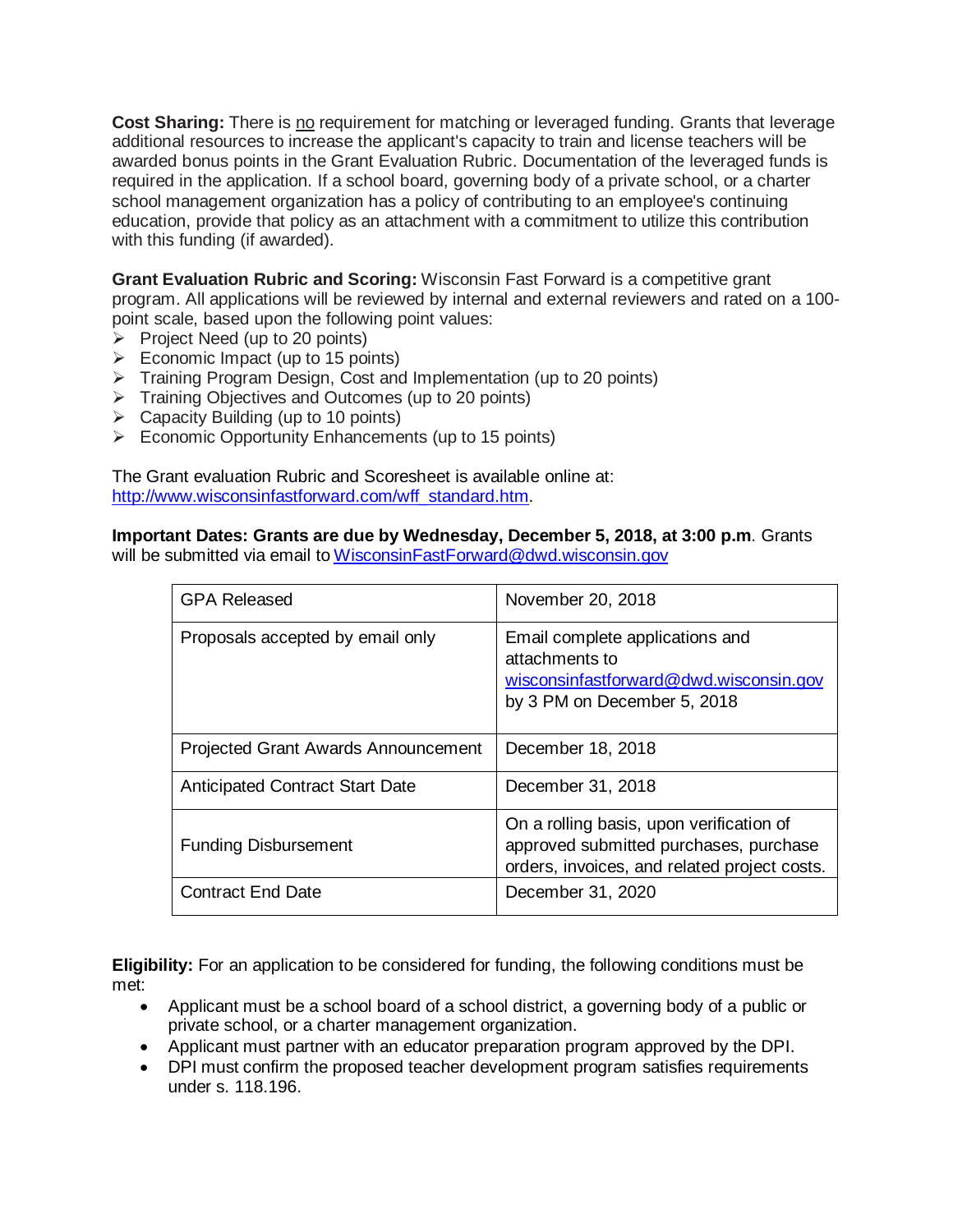**Cost Sharing:** There is no requirement for matching or leveraged funding. Grants that leverage additional resources to increase the applicant's capacity to train and license teachers will be awarded bonus points in the Grant Evaluation Rubric. Documentation of the leveraged funds is required in the application. If a school board, governing body of a private school, or a charter school management organization has a policy of contributing to an employee's continuing education, provide that policy as an attachment with a commitment to utilize this contribution with this funding (if awarded).

**Grant Evaluation Rubric and Scoring:** Wisconsin Fast Forward is a competitive grant program. All applications will be reviewed by internal and external reviewers and rated on a 100 point scale, based upon the following point values:

- $\triangleright$  Project Need (up to 20 points)
- $\triangleright$  Economic Impact (up to 15 points)
- $\triangleright$  Training Program Design, Cost and Implementation (up to 20 points)
- $\triangleright$  Training Objectives and Outcomes (up to 20 points)
- $\triangleright$  Capacity Building (up to 10 points)
- $\triangleright$  Economic Opportunity Enhancements (up to 15 points)

The Grant evaluation Rubric and Scoresheet is available online at: [http://www.wisconsinfastforward.com/wff\\_standard.htm.](http://www.wisconsinfastforward.com/wff_standard.htm)

**Important Dates: Grants are due by Wednesday, December 5, 2018, at 3:00 p.m**. Grants will be submitted via email to WisconsinFastForward@dwd.wisconsin.gov

| <b>GPA Released</b>                        | November 20, 2018                                                                                                                  |
|--------------------------------------------|------------------------------------------------------------------------------------------------------------------------------------|
| Proposals accepted by email only           | Email complete applications and<br>attachments to<br>wisconsinfastforward@dwd.wisconsin.gov<br>by 3 PM on December 5, 2018         |
| <b>Projected Grant Awards Announcement</b> | December 18, 2018                                                                                                                  |
| <b>Anticipated Contract Start Date</b>     | December 31, 2018                                                                                                                  |
| <b>Funding Disbursement</b>                | On a rolling basis, upon verification of<br>approved submitted purchases, purchase<br>orders, invoices, and related project costs. |
| <b>Contract End Date</b>                   | December 31, 2020                                                                                                                  |

**Eligibility:** For an application to be considered for funding, the following conditions must be met:

- Applicant must be a school board of a school district, a governing body of a public or private school, or a charter management organization.
- Applicant must partner with an educator preparation program approved by the DPI.
- DPI must confirm the proposed teacher development program satisfies requirements under s. 118.196.